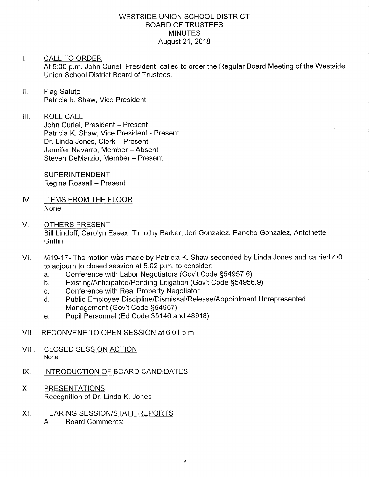#### WESTSIDE UNION SCHOOL DISTRICT BOARD OF TRUSTEES **MINUTES** August 21,2018

#### I. CALL TO ORDER

At 5:00 p.m. John Curiel, President, called to order the Regular Board Meeting of the Westside Union School District Board of Trustees.

# II. Flag Salute Patricia k. Shaw, Vice President

### III. ROLL CALL

John Curiel, President - Present Patricia K. Shaw, Vice President - Present Dr. Linda Jones, Clerk - Present Jennifer Navarro, Member - Absent Steven DeMarzio, Member - Present

**SUPERINTENDENT** Regina Rossall - Present

- IV. ITEMS FROM THE FLOOR None
- V. OTHERS PRESENT Bill Lindoff, Carolyn Essex, Timothy Barker, Jeri Gonzalez, Pancho Gonzalez, Antoinette **Griffin**
- M19-17- The motion wås made by Patricia K. Shaw seconded by Linda Jones and carried <sup>410</sup> to adjourn to closed session at 5.02 p.m. to consider: VI
	-
	- a. Conference with Labor Negotiators (Gov't Code §54957.6)<br>b. Existing/Anticipated/Pending Litigation (Gov't Code §54956.9)<br>c. Conference with Real Property Negotiator
	-
	- c. Conference with Real Property Negotiator<br>d. Public Employee Discipline/Dismissal/Release/Appointment Unrepresented Management (Gov't Code S54957)
	- e. Pupil Personnel (Ed Code 35146 and 48918)
- Vll. RECONVENE TO OPEN SESSION at 6:01 p.m
- VIII. CLOSED SESSION ACTION None
- IX. INTRODUCTION OF BOARD CANDIDATES
- X. PRESENTATIONS Recognition of Dr. Linda K. Jones
- HEARING SESSION/STAFF REPORTS A. Board Comments: XI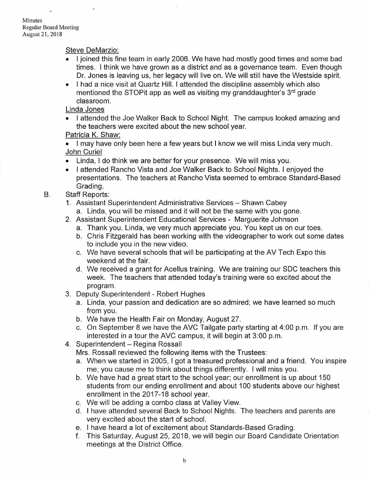Minutes Regular Board Meeting August 21,2018

Steve DeMarzio:

- I joined this fine team in early 2006. We have had mostly good times and some bad times. I think we have grown as a district and as a governance team. Even though Dr. Jones is leaving us, her legacy will live on. We will still have the Westside spirit.
- I had a nice visit at Quartz Hill. I attended the discipline assembly which also mentioned the STOP it app as well as visiting my granddaughter's  $3<sup>rd</sup>$  grade classroom.

Linda Jones

. I attended the Joe Walker Back to School Night. The campus looked amazing and the teachers were excited about the new school year.

### Patricia K. Shaw:

. I may have only been here a few years but I know we will miss Linda very much. John Curiel

- . Linda, I do think we are better for your presence. We will miss you.
- . I attended Rancho Vista and Joe Walker Back to School Nights. I enjoyed the presentations. The teachers at Rancho Vista seemed to embrace Standard-Based Grading.
- B. Staff Reports:
	- 1. Assistant Superintendent Administrative Services Shawn Cabey
		- a. Linda, you will be missed and it will not be the same with you gone.
	- 2. Assistant Superintendent Educational Services Marguerite Johnson
		- a. Thank you, Linda, we very much appreciate you. You kept us on our toes.
		- b. Chris Fitzgerald has been working with the videographer to work out some dates to include you in the new video.
		- c. We have several schools that will be pafticipating at the AV Tech Expo this weekend at the fair.
		- d. We received a grant for Acellus training. We are training our SDC teachers this week. The teachers that attended today's training were so excited about the program.
	- 3. Deputy Superintendent Robert Hughes
		- a. Linda, your passion and dedication are so admired; we have learned so much from you.
		- b. We have the Health Fair on Monday, August 27.
		- c. On September <sup>B</sup>we have the AVC Tailgate party starting at 4.00 p.m. lf you are interested in a tour the AVC campus, it will begin at 3:00 p.m.
	- 4. Superintendent Regina Rossall

Mrs. Rossall reviewed the following items with the Trustees:

- a. When we started in 2005, I got a treasured professional and a friend. You inspire me; you cause me to think about things differently. I will miss you.
- b. We have had a great start to the school year; our enrollment is up about <sup>150</sup> students from our ending enrollment and about 100 students above our highest enrollment in the 2017-18 school year.
- 
- c. We will be adding a combo class at Valley View.<br>d. I have attended several Back to School Nights. The teachers and parents are very excited about the start of school.<br>
e. I have heard a lot of excitement about Standards-Based Grading.
- 
- f. This Saturday, August 25, 2018, we will begin our Board Candidate Orientation meetings at the District Office.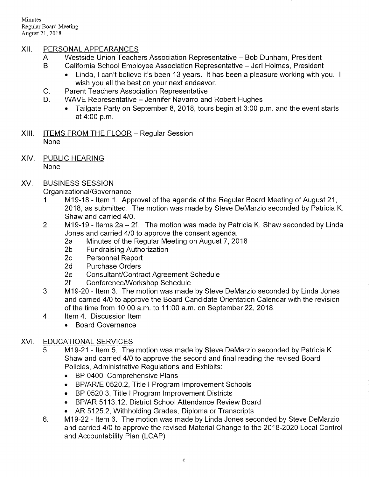Minutes Regular Board Meeting August 21,2018

## XII. PERSONALAPPEARANCES

- A. Westside Union Teachers Association Representative Bob Dunham, President B. California School Employee Association Representative Jeri Holmes, President
	-
- Linda, I can't believe it's been 13 years. It has been a pleasure working with you. I wish you all the best on your next endeavor.<br>C. Parent Teachers Association Representative<br>D. WAVE Representative – Jennifer Navarro and Robert Hughes
- 
- - . Tailgate Party on September 8, 2018, tours begin at 3:00 p.m. and the event starls at 4:00 p.m.
- XIII. ITEMS FROM THE FLOOR Regular Session None
- XIV. PUBLIC HEARING None

#### XV BUSINESS SESSION

Organizational/Governance

- <sup>1</sup>. M19-18 ltem <sup>1</sup>. Approval of the agenda of the Regular Board Meeting of August <sup>21</sup>, 2018, as submitted. The motion was made by Steve DeMarzio seconded by Patricia K. Shaw and carried 410.
- 2. M19-19 Items 2a 2f. The motion was made by Patricia K. Shaw seconded by Linda
	- Jones and carried 410 to approve the consent agenda. 2a Minutes of the Regular Meeting on August 7,2018 2b Fundraising Authorization 2c Personnel Repoft 2d Purchase Orders
	-
	-
	-
	-
	-
- 2e ConsultanUContractAgreementSchedule 2f ConferenceA/r/orkshop Schedule 3. M19-20 ltem 3. The motion was made by Steve DeMarzio seconded by Linda Jones and carried 410 to approve the Board Candidate Orientation Calendar with the revision of the time from 10:00 a.m. to 11:00 a.m. on September 22, 2018.<br>4. ltem 4. Discussion ltem
	- - . Board Governance

# XVI. EDUCATIONAL SERVICES

- 5. M19-21 Item 5. The motion was made by Steve DeMarzio seconded by Patricia K. Shaw and carried 410 to approve the second and final reading the revised Board Policies, Administrative Regulations and Exhibits:
	- . BP 0400, Comprehensive Plans
	- . BP/ARIE 0520.2, Title I Program lmprovement Schools
	- . BP 0520.3, Title I Program lmprovement Districts
	- . BP/AR 5113.12, District School Attendance Review Board
	-
- AR 5125.2, Withholding Grades, Diploma or Transcripts<br>6. M19-22 Item 6. The motion was made by Linda Jones seconded by Steve DeMarzio and carried 410 to approve the revised Material Change to the 2018-2020 Local Control and Accountability Plan (LCAP)